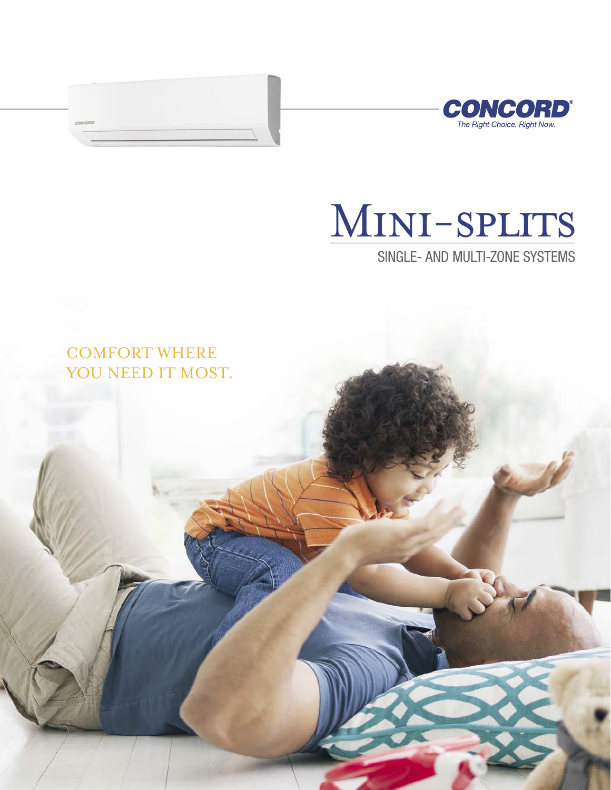



# Mini-splits

SINGLE- AND MULTI-ZONE SYSTEMS

# COMFORT WHERE YOU NEED IT MOST.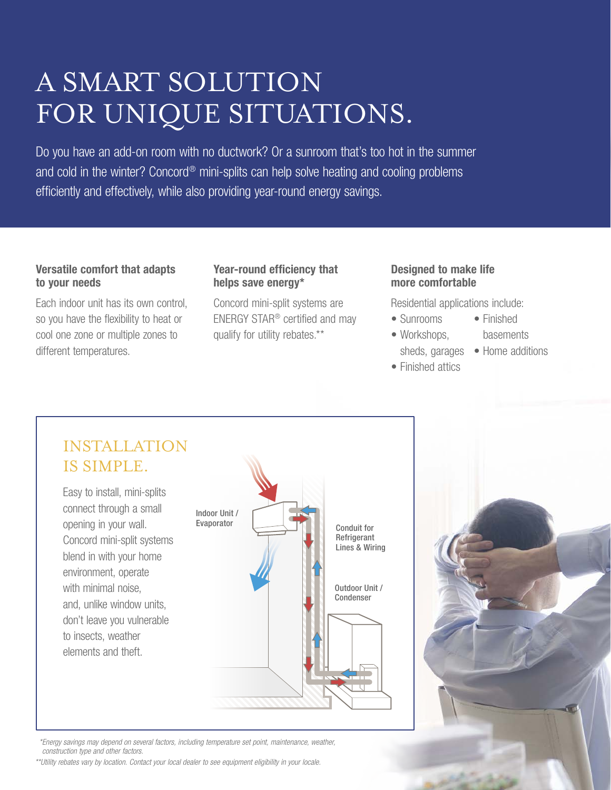# A SMART SOLUTION FOR UNIQUE SITUATIONS.

Do you have an add-on room with no ductwork? Or a sunroom that's too hot in the summer and cold in the winter? Concord<sup>®</sup> mini-splits can help solve heating and cooling problems efficiently and effectively, while also providing year-round energy savings.

#### Versatile comfort that adapts to your needs

Each indoor unit has its own control, so you have the flexibility to heat or cool one zone or multiple zones to different temperatures.

#### Year-round efficiency that helps save energy\*

Concord mini-split systems are ENERGY STAR® certified and may qualify for utility rebates.\*\*

#### Designed to make life more comfortable

Residential applications include:

- Sunrooms • Finished
	- basements
	- sheds, garages Home additions
- Finished attics

• Workshops,



 *\*Energy savings may depend on several factors, including temperature set point, maintenance, weather, construction type and other factors.*

*\*\*Utility rebates vary by location. Contact your local dealer to see equipment eligibility in your locale.*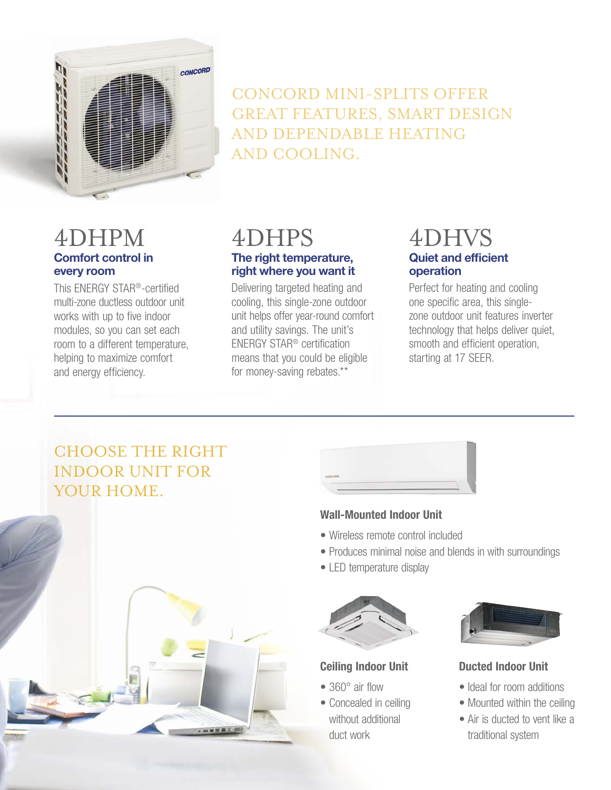

CONCORD MINI-SPLITS OFFER GREAT FEATURES, SMART DESIGN AND DEPENDABLE HEATING AND COOLING.

#### **Comfort control in every room**  4DHPM

This ENERGY STAR®-certified multi-zone ductless outdoor unit works with up to five indoor modules, so you can set each room to a different temperature, helping to maximize comfort and energy efficiency.

# 4DHPS **The right temperature,**

**right where you want it**  Delivering targeted heating and cooling, this single-zone outdoor unit helps offer year-round comfort and utility savings. The unit's ENERGY STAR® certification means that you could be eligible for money-saving rebates.\*\*

### **Quiet and efficient operation** 4DHVS

Perfect for heating and cooling one specific area, this singlezone outdoor unit features inverter technology that helps deliver quiet, smooth and efficient operation, starting at 17 SEER.

# CHOOSE THE RIGHT INDOOR UNIT FOR YOUR HOME.





#### Wall-Mounted Indoor Unit

- Wireless remote control included
- Produces minimal noise and blends in with surroundings
- LED temperature display



#### Ceiling Indoor Unit

- 360° air flow
- Concealed in ceiling without additional duct work



#### Ducted Indoor Unit

- Ideal for room additions
- Mounted within the ceiling
- Air is ducted to vent like a traditional system